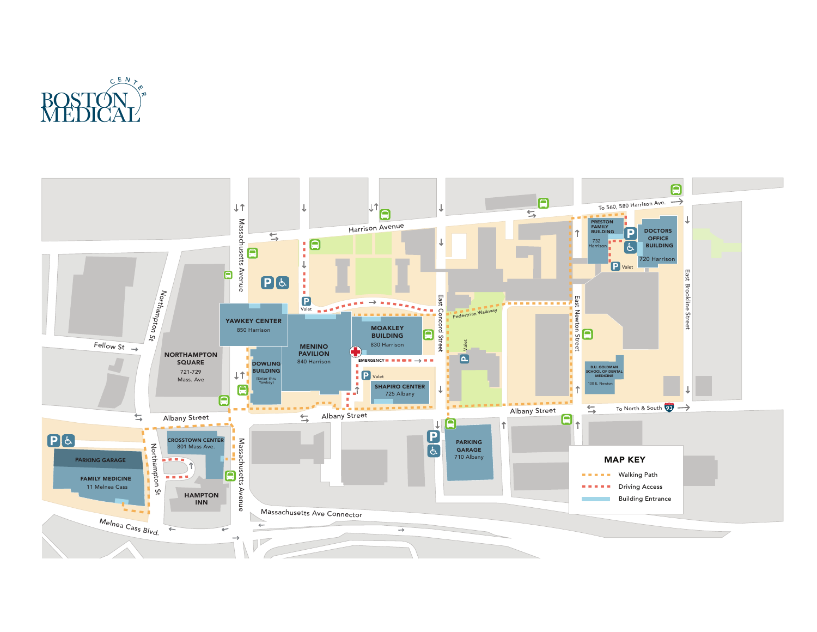